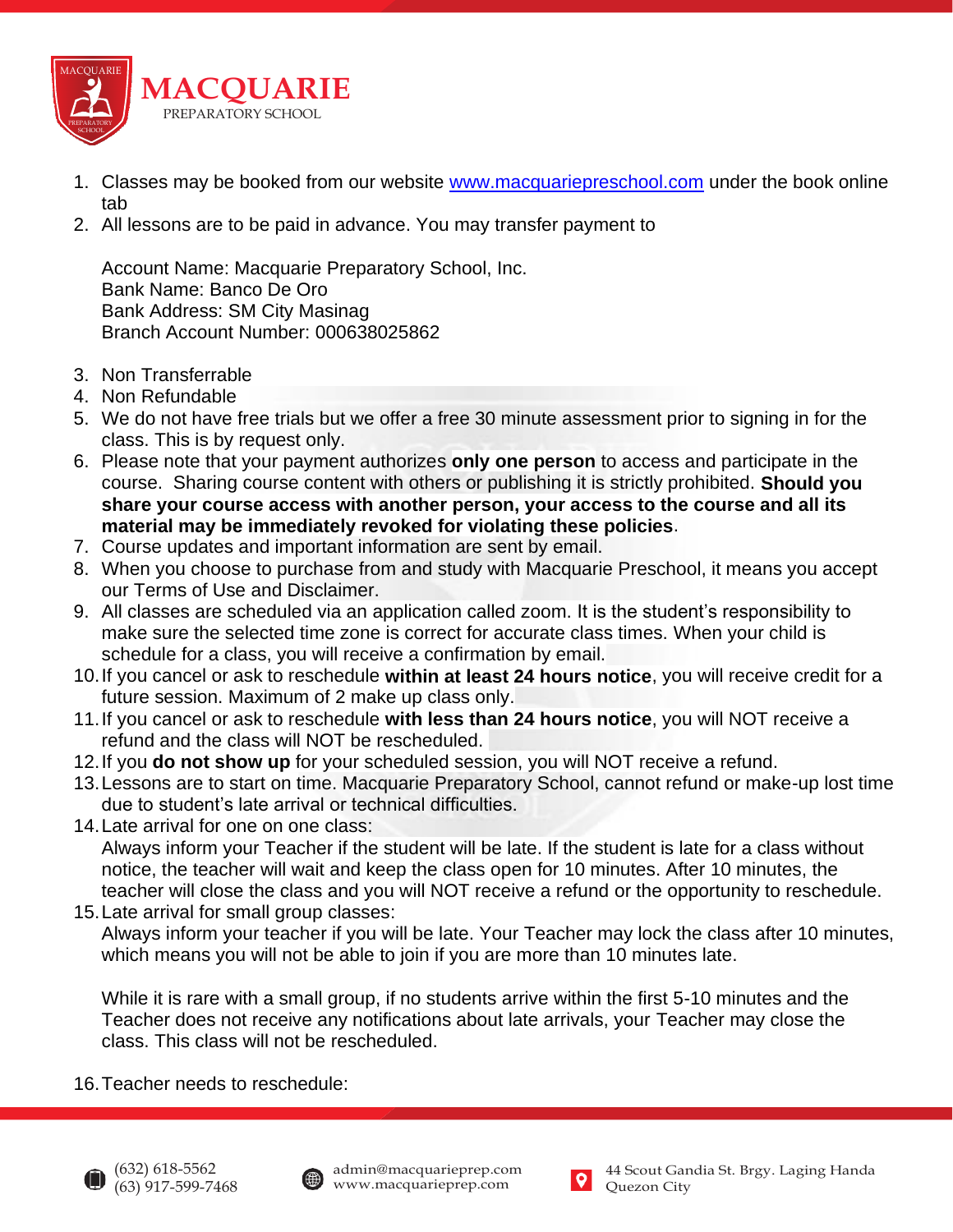

- 1. Classes may be booked from our website [www.macquariepreschool.com](http://www.macquariepreschool.com/) under the book online tab
- 2. All lessons are to be paid in advance. You may transfer payment to

Account Name: Macquarie Preparatory School, Inc. Bank Name: Banco De Oro Bank Address: SM City Masinag Branch Account Number: 000638025862

- 3. Non Transferrable
- 4. Non Refundable
- 5. We do not have free trials but we offer a free 30 minute assessment prior to signing in for the class. This is by request only.
- 6. Please note that your payment authorizes **only one person** to access and participate in the course. Sharing course content with others or publishing it is strictly prohibited. **Should you share your course access with another person, your access to the course and all its material may be immediately revoked for violating these policies**.
- 7. Course updates and important information are sent by email.
- 8. When you choose to purchase from and study with Macquarie Preschool, it means you accept our Terms of Use and Disclaimer.
- 9. All classes are scheduled via an application called zoom. It is the student's responsibility to make sure the selected time zone is correct for accurate class times. When your child is schedule for a class, you will receive a confirmation by email.
- 10.If you cancel or ask to reschedule **within at least 24 hours notice**, you will receive credit for a future session. Maximum of 2 make up class only.
- 11.If you cancel or ask to reschedule **with less than 24 hours notice**, you will NOT receive a refund and the class will NOT be rescheduled.
- 12.If you **do not show up** for your scheduled session, you will NOT receive a refund.
- 13.Lessons are to start on time. Macquarie Preparatory School, cannot refund or make-up lost time due to student's late arrival or technical difficulties.
- 14.Late arrival for one on one class: Always inform your Teacher if the student will be late. If the student is late for a class without notice, the teacher will wait and keep the class open for 10 minutes. After 10 minutes, the teacher will close the class and you will NOT receive a refund or the opportunity to reschedule.
- 15.Late arrival for small group classes: Always inform your teacher if you will be late. Your Teacher may lock the class after 10 minutes, which means you will not be able to join if you are more than 10 minutes late.

While it is rare with a small group, if no students arrive within the first 5-10 minutes and the Teacher does not receive any notifications about late arrivals, your Teacher may close the class. This class will not be rescheduled.

16.Teacher needs to reschedule: